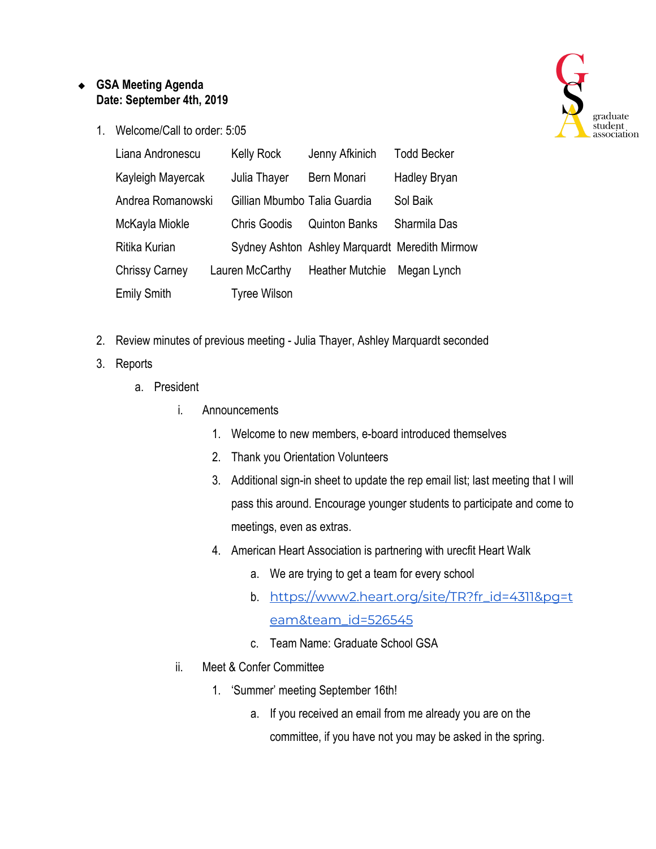## ❖ **GSA Meeting Agenda Date: September 4th, 2019**

1. Welcome/Call to order: 5:05



- 2. Review minutes of previous meeting Julia Thayer, Ashley Marquardt seconded
- 3. Reports
	- a. President
		- i. Announcements
			- 1. Welcome to new members, e-board introduced themselves
			- 2. Thank you Orientation Volunteers
			- 3. Additional sign-in sheet to update the rep email list; last meeting that I will pass this around. Encourage younger students to participate and come to meetings, even as extras.
			- 4. American Heart Association is partnering with urecfit Heart Walk
				- a. We are trying to get a team for every school
				- b. [https://www2.heart.org/site/TR?fr\\_id=4311&pg=t](https://www2.heart.org/site/TR?fr_id=4311&pg=team&team_id=526545) [eam&team\\_id=526545](https://www2.heart.org/site/TR?fr_id=4311&pg=team&team_id=526545)
				- c. Team Name: Graduate School GSA
		- ii. Meet & Confer Committee
			- 1. 'Summer' meeting September 16th!
				- a. If you received an email from me already you are on the committee, if you have not you may be asked in the spring.

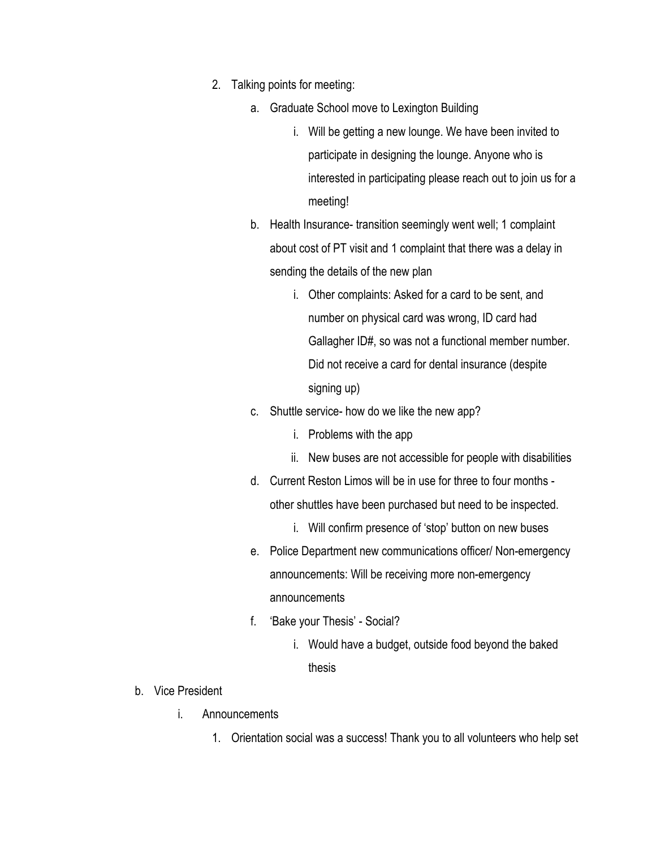- 2. Talking points for meeting:
	- a. Graduate School move to Lexington Building
		- i. Will be getting a new lounge. We have been invited to participate in designing the lounge. Anyone who is interested in participating please reach out to join us for a meeting!
	- b. Health Insurance- transition seemingly went well; 1 complaint about cost of PT visit and 1 complaint that there was a delay in sending the details of the new plan
		- i. Other complaints: Asked for a card to be sent, and number on physical card was wrong, ID card had Gallagher ID#, so was not a functional member number. Did not receive a card for dental insurance (despite signing up)
	- c. Shuttle service- how do we like the new app?
		- i. Problems with the app
		- ii. New buses are not accessible for people with disabilities
	- d. Current Reston Limos will be in use for three to four months other shuttles have been purchased but need to be inspected.
		- i. Will confirm presence of 'stop' button on new buses
	- e. Police Department new communications officer/ Non-emergency announcements: Will be receiving more non-emergency announcements
	- f. 'Bake your Thesis' Social?
		- i. Would have a budget, outside food beyond the baked thesis
- b. Vice President
	- i. Announcements
		- 1. Orientation social was a success! Thank you to all volunteers who help set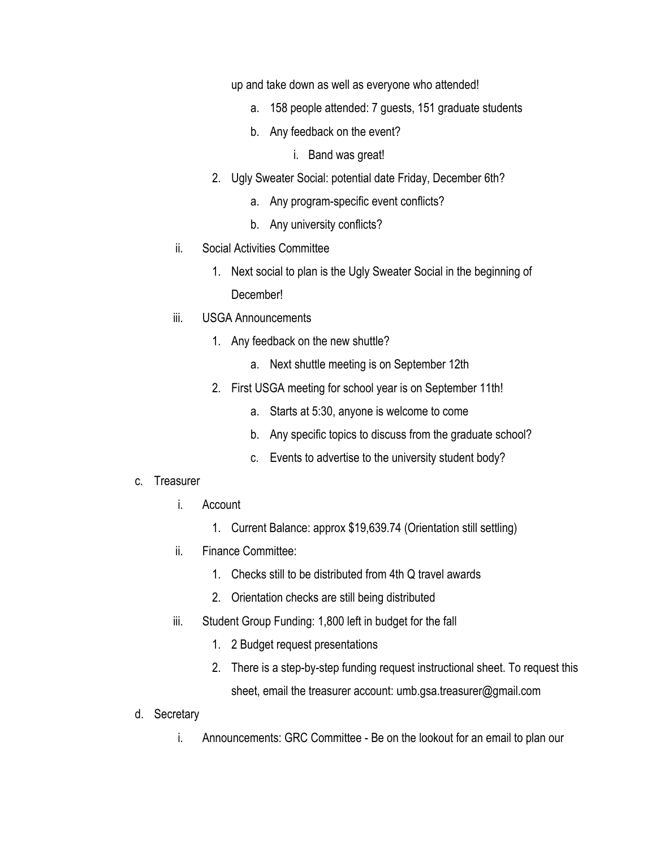up and take down as well as everyone who attended!

- a. 158 people attended: 7 guests, 151 graduate students
- b. Any feedback on the event?
	- i. Band was great!
- 2. Ugly Sweater Social: potential date Friday, December 6th?
	- a. Any program-specific event conflicts?
	- b. Any university conflicts?
- ii. Social Activities Committee
	- 1. Next social to plan is the Ugly Sweater Social in the beginning of December!
- iii. USGA Announcements
	- 1. Any feedback on the new shuttle?
		- a. Next shuttle meeting is on September 12th
	- 2. First USGA meeting for school year is on September 11th!
		- a. Starts at 5:30, anyone is welcome to come
		- b. Any specific topics to discuss from the graduate school?
		- c. Events to advertise to the university student body?
- c. Treasurer
	- i. Account
		- 1. Current Balance: approx \$19,639.74 (Orientation still settling)
	- ii. Finance Committee:
		- 1. Checks still to be distributed from 4th Q travel awards
		- 2. Orientation checks are still being distributed
	- iii. Student Group Funding: 1,800 left in budget for the fall
		- 1. 2 Budget request presentations
		- 2. There is a step-by-step funding request instructional sheet. To request this sheet, email the treasurer account: umb.gsa.treasurer@gmail.com
- d. Secretary
	- i. Announcements: GRC Committee Be on the lookout for an email to plan our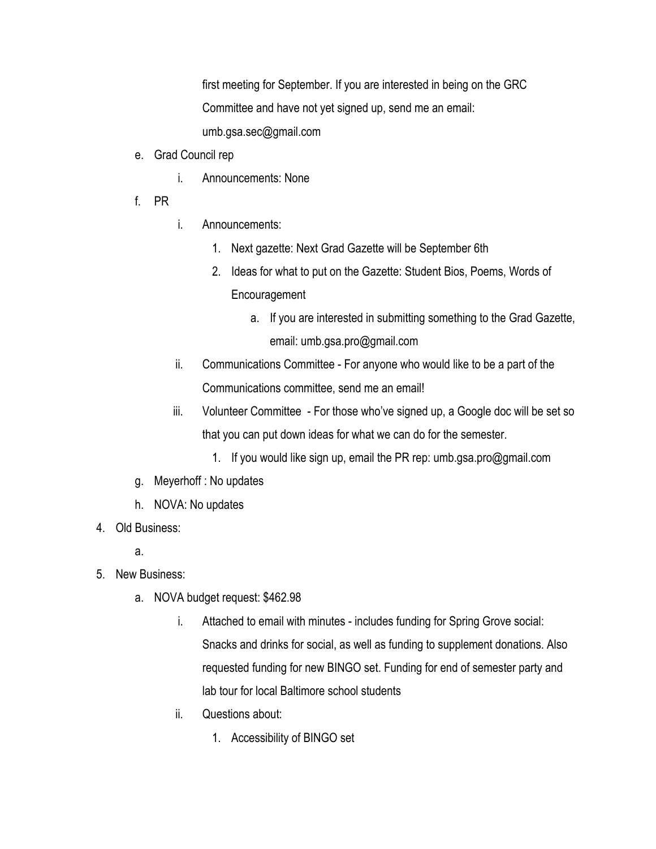first meeting for September. If you are interested in being on the GRC Committee and have not yet signed up, send me an email: umb.gsa.sec@gmail.com

- e. Grad Council rep
	- i. Announcements: None
- f. PR
- i. Announcements:
	- 1. Next gazette: Next Grad Gazette will be September 6th
	- 2. Ideas for what to put on the Gazette: Student Bios, Poems, Words of Encouragement
		- a. If you are interested in submitting something to the Grad Gazette, email: umb.gsa.pro@gmail.com
- ii. Communications Committee For anyone who would like to be a part of the Communications committee, send me an email!
- iii. Volunteer Committee For those who've signed up, a Google doc will be set so that you can put down ideas for what we can do for the semester.
	- 1. If you would like sign up, email the PR rep: umb.gsa.pro@gmail.com
- g. Meyerhoff : No updates
- h. NOVA: No updates
- 4. Old Business:
	- a.
- 5. New Business:
	- a. NOVA budget request: \$462.98
		- i. Attached to email with minutes includes funding for Spring Grove social: Snacks and drinks for social, as well as funding to supplement donations. Also requested funding for new BINGO set. Funding for end of semester party and lab tour for local Baltimore school students
		- ii. Questions about:
			- 1. Accessibility of BINGO set